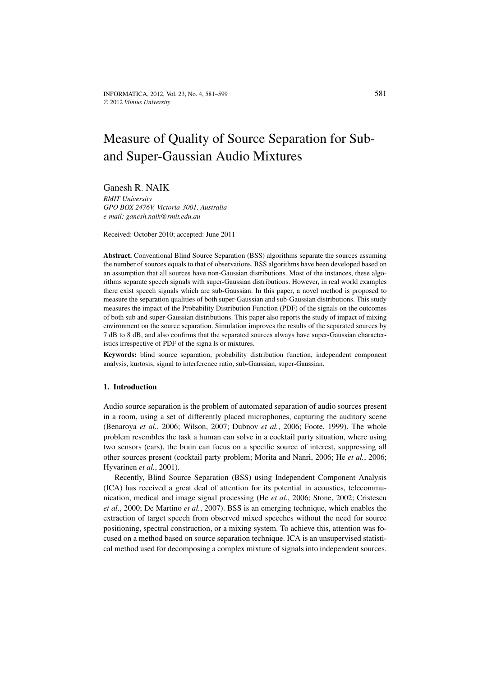# Measure of Quality of Source Separation for Suband Super-Gaussian Audio Mixtures

Ganesh R. NAIK *RMIT University GPO BOX 2476V, Victoria-3001, Australia e-mail: ganesh.naik@rmit.edu.au*

Received: October 2010; accepted: June 2011

**Abstract.** Conventional Blind Source Separation (BSS) algorithms separate the sources assuming the number of sources equals to that of observations. BSS algorithms have been developed based on an assumption that all sources have non-Gaussian distributions. Most of the instances, these algorithms separate speech signals with super-Gaussian distributions. However, in real world examples there exist speech signals which are sub-Gaussian. In this paper, a novel method is proposed to measure the separation qualities of both super-Gaussian and sub-Gaussian distributions. This study measures the impact of the Probability Distribution Function (PDF) of the signals on the outcomes of both sub and super-Gaussian distributions. This paper also reports the study of impact of mixing environment on the source separation. Simulation improves the results of the separated sources by 7 dB to 8 dB, and also confirms that the separated sources always have super-Gaussian characteristics irrespective of PDF of the signa ls or mixtures.

**Keywords:** blind source separation, probability distribution function, independent component analysis, kurtosis, signal to interference ratio, sub-Gaussian, super-Gaussian.

#### **1. Introduction**

Audio source separation is the problem of automated separation of audio sources present in a room, using a set of differently placed microphones, capturing the auditory scene (Benaroya *et al.*, 2006; Wilson, 2007; Dubnov *et al.*, 2006; Foote, 1999). The whole problem resembles the task a human can solve in a cocktail party situation, where using two sensors (ears), the brain can focus on a specific source of interest, suppressing all other sources present (cocktail party problem; Morita and Nanri, 2006; He *et al.*, 2006; Hyvarinen *et al.*, 2001).

Recently, Blind Source Separation (BSS) using Independent Component Analysis (ICA) has received a great deal of attention for its potential in acoustics, telecommunication, medical and image signal processing (He *et al.*, 2006; Stone, 2002; Cristescu *et al.*, 2000; De Martino *et al.*, 2007). BSS is an emerging technique, which enables the extraction of target speech from observed mixed speeches without the need for source positioning, spectral construction, or a mixing system. To achieve this, attention was focused on a method based on source separation technique. ICA is an unsupervised statistical method used for decomposing a complex mixture of signals into independent sources.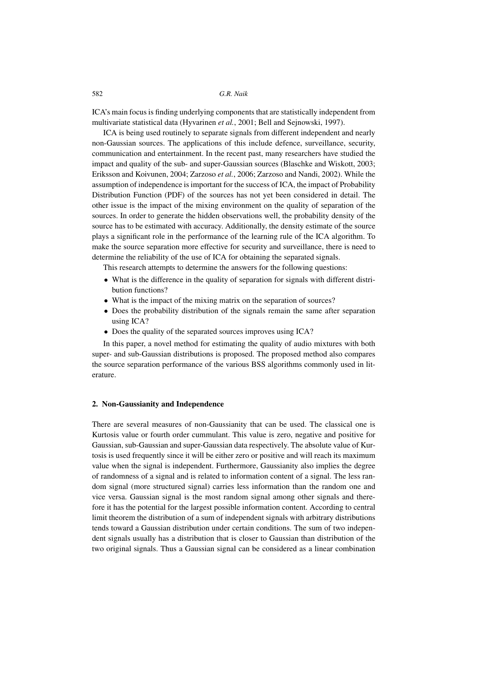ICA's main focus is finding underlying components that are statistically independent from multivariate statistical data (Hyvarinen *et al.*, 2001; Bell and Sejnowski, 1997).

ICA is being used routinely to separate signals from different independent and nearly non-Gaussian sources. The applications of this include defence, surveillance, security, communication and entertainment. In the recent past, many researchers have studied the impact and quality of the sub- and super-Gaussian sources (Blaschke and Wiskott, 2003; Eriksson and Koivunen, 2004; Zarzoso *et al.*, 2006; Zarzoso and Nandi, 2002). While the assumption of independence is important for the success of ICA, the impact of Probability Distribution Function (PDF) of the sources has not yet been considered in detail. The other issue is the impact of the mixing environment on the quality of separation of the sources. In order to generate the hidden observations well, the probability density of the source has to be estimated with accuracy. Additionally, the density estimate of the source plays a significant role in the performance of the learning rule of the ICA algorithm. To make the source separation more effective for security and surveillance, there is need to determine the reliability of the use of ICA for obtaining the separated signals.

This research attempts to determine the answers for the following questions:

- What is the difference in the quality of separation for signals with different distribution functions?
- What is the impact of the mixing matrix on the separation of sources?
- Does the probability distribution of the signals remain the same after separation using ICA?
- Does the quality of the separated sources improves using ICA?

In this paper, a novel method for estimating the quality of audio mixtures with both super- and sub-Gaussian distributions is proposed. The proposed method also compares the source separation performance of the various BSS algorithms commonly used in literature.

#### **2. Non-Gaussianity and Independence**

There are several measures of non-Gaussianity that can be used. The classical one is Kurtosis value or fourth order cummulant. This value is zero, negative and positive for Gaussian, sub-Gaussian and super-Gaussian data respectively. The absolute value of Kurtosis is used frequently since it will be either zero or positive and will reach its maximum value when the signal is independent. Furthermore, Gaussianity also implies the degree of randomness of a signal and is related to information content of a signal. The less random signal (more structured signal) carries less information than the random one and vice versa. Gaussian signal is the most random signal among other signals and therefore it has the potential for the largest possible information content. According to central limit theorem the distribution of a sum of independent signals with arbitrary distributions tends toward a Gaussian distribution under certain conditions. The sum of two independent signals usually has a distribution that is closer to Gaussian than distribution of the two original signals. Thus a Gaussian signal can be considered as a linear combination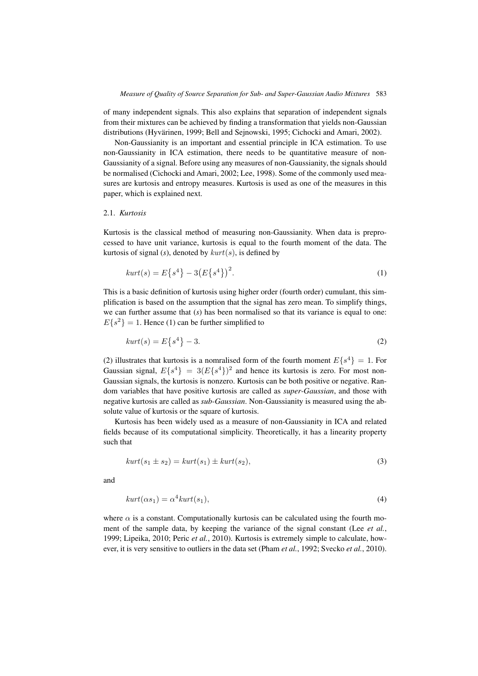of many independent signals. This also explains that separation of independent signals from their mixtures can be achieved by finding a transformation that yields non-Gaussian distributions (Hyvärinen, 1999; Bell and Sejnowski, 1995; Cichocki and Amari, 2002).

Non-Gaussianity is an important and essential principle in ICA estimation. To use non-Gaussianity in ICA estimation, there needs to be quantitative measure of non-Gaussianity of a signal. Before using any measures of non-Gaussianity, the signals should be normalised (Cichocki and Amari, 2002; Lee, 1998). Some of the commonly used measures are kurtosis and entropy measures. Kurtosis is used as one of the measures in this paper, which is explained next.

#### 2.1. *Kurtosis*

Kurtosis is the classical method of measuring non-Gaussianity. When data is preprocessed to have unit variance, kurtosis is equal to the fourth moment of the data. The kurtosis of signal (s), denoted by  $kurt(s)$ , is defined by

$$
kurt(s) = E\{s^4\} - 3(E\{s^4\})^2.
$$
 (1)

This is a basic definition of kurtosis using higher order (fourth order) cumulant, this simplification is based on the assumption that the signal has zero mean. To simplify things, we can further assume that (*s*) has been normalised so that its variance is equal to one:  $E\{s^2\} = 1$ . Hence (1) can be further simplified to

$$
kurt(s) = E\{s^4\} - 3.\tag{2}
$$

(2) illustrates that kurtosis is a nomralised form of the fourth moment  $E{s^4} = 1$ . For Gaussian signal,  $E{s^4} = 3(E{s^4})^2$  and hence its kurtosis is zero. For most non-Gaussian signals, the kurtosis is nonzero. Kurtosis can be both positive or negative. Random variables that have positive kurtosis are called as *super-Gaussian*, and those with negative kurtosis are called as *sub-Gaussian*. Non-Gaussianity is measured using the absolute value of kurtosis or the square of kurtosis.

Kurtosis has been widely used as a measure of non-Gaussianity in ICA and related fields because of its computational simplicity. Theoretically, it has a linearity property such that

$$
kurt(s_1 \pm s_2) = kurt(s_1) \pm kurt(s_2),
$$
\n<sup>(3)</sup>

and

$$
kurt(\alpha s_1) = \alpha^4 kurt(s_1),\tag{4}
$$

where  $\alpha$  is a constant. Computationally kurtosis can be calculated using the fourth moment of the sample data, by keeping the variance of the signal constant (Lee *et al.*, 1999; Lipeika, 2010; Peric *et al.*, 2010). Kurtosis is extremely simple to calculate, however, it is very sensitive to outliers in the data set (Pham *et al.*, 1992; Svecko *et al.*, 2010).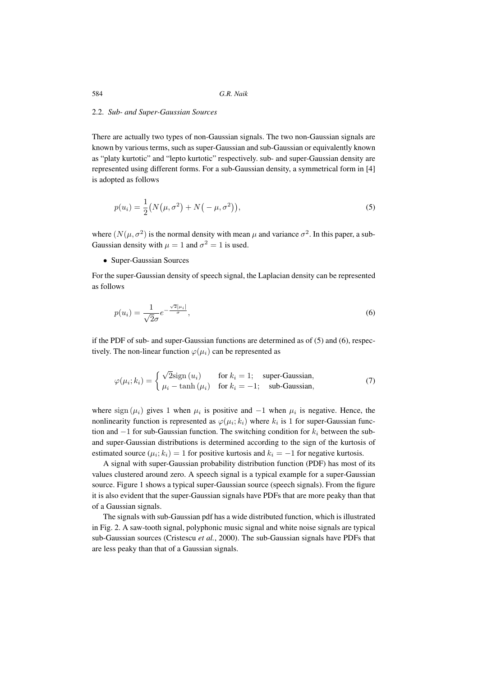#### 2.2. *Sub- and Super-Gaussian Sources*

There are actually two types of non-Gaussian signals. The two non-Gaussian signals are known by various terms, such as super-Gaussian and sub-Gaussian or equivalently known as "platy kurtotic" and "lepto kurtotic" respectively. sub- and super-Gaussian density are represented using different forms. For a sub-Gaussian density, a symmetrical form in [4] is adopted as follows

$$
p(u_i) = \frac{1}{2} (N(\mu, \sigma^2) + N(-\mu, \sigma^2)),
$$
\n(5)

where  $(N(\mu, \sigma^2))$  is the normal density with mean  $\mu$  and variance  $\sigma^2$ . In this paper, a sub-Gaussian density with  $\mu = 1$  and  $\sigma^2 = 1$  is used.

• Super-Gaussian Sources

For the super-Gaussian density of speech signal, the Laplacian density can be represented as follows

$$
p(u_i) = \frac{1}{\sqrt{2}\sigma} e^{-\frac{\sqrt{2}|\mu_i|}{\sigma}},
$$
\n(6)

if the PDF of sub- and super-Gaussian functions are determined as of (5) and (6), respectively. The non-linear function  $\varphi(\mu_i)$  can be represented as

$$
\varphi(\mu_i; k_i) = \begin{cases} \sqrt{2} \text{sign}(u_i) & \text{for } k_i = 1; \quad \text{super-Gaussian,} \\ \mu_i - \tanh(\mu_i) & \text{for } k_i = -1; \quad \text{sub-Gaussian,} \end{cases}
$$
(7)

where sign ( $\mu_i$ ) gives 1 when  $\mu_i$  is positive and −1 when  $\mu_i$  is negative. Hence, the nonlinearity function is represented as  $\varphi(\mu_i; k_i)$  where  $k_i$  is 1 for super-Gaussian function and  $-1$  for sub-Gaussian function. The switching condition for  $k_i$  between the suband super-Gaussian distributions is determined according to the sign of the kurtosis of estimated source ( $\mu_i$ ;  $k_i$ ) = 1 for positive kurtosis and  $k_i = -1$  for negative kurtosis.

A signal with super-Gaussian probability distribution function (PDF) has most of its values clustered around zero. A speech signal is a typical example for a super-Gaussian source. Figure 1 shows a typical super-Gaussian source (speech signals). From the figure it is also evident that the super-Gaussian signals have PDFs that are more peaky than that of a Gaussian signals.

The signals with sub-Gaussian pdf has a wide distributed function, which is illustrated in Fig. 2. A saw-tooth signal, polyphonic music signal and white noise signals are typical sub-Gaussian sources (Cristescu *et al.*, 2000). The sub-Gaussian signals have PDFs that are less peaky than that of a Gaussian signals.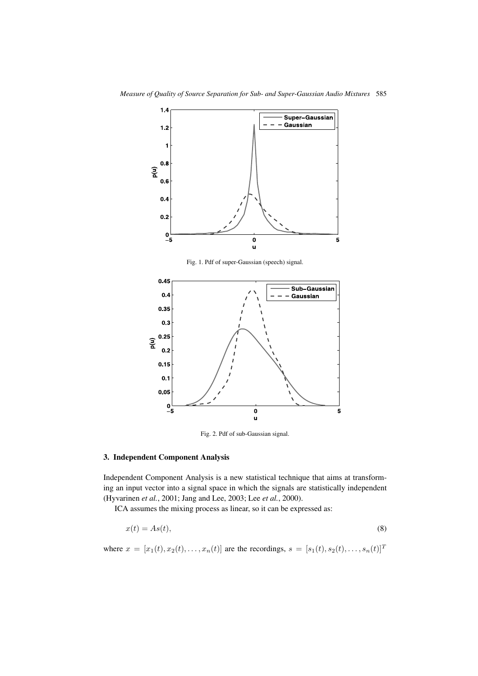

Fig. 1. Pdf of super-Gaussian (speech) signal.



Fig. 2. Pdf of sub-Gaussian signal.

#### **3. Independent Component Analysis**

Independent Component Analysis is a new statistical technique that aims at transforming an input vector into a signal space in which the signals are statistically independent (Hyvarinen *et al.*, 2001; Jang and Lee, 2003; Lee *et al.*, 2000).

ICA assumes the mixing process as linear, so it can be expressed as:

$$
x(t) = As(t),\tag{8}
$$

where  $x = [x_1(t), x_2(t),..., x_n(t)]$  are the recordings,  $s = [s_1(t), s_2(t),..., s_n(t)]^T$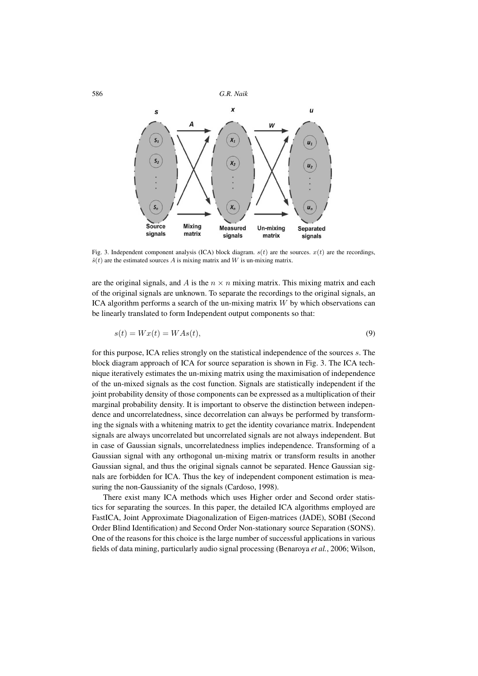

Fig. 3. Independent component analysis (ICA) block diagram.  $s(t)$  are the sources.  $x(t)$  are the recordings,  $\hat{s}(t)$  are the estimated sources A is mixing matrix and W is un-mixing matrix.

are the original signals, and A is the  $n \times n$  mixing matrix. This mixing matrix and each of the original signals are unknown. To separate the recordings to the original signals, an ICA algorithm performs a search of the un-mixing matrix  $W$  by which observations can be linearly translated to form Independent output components so that:

$$
s(t) = Wx(t) = WAs(t),\tag{9}
$$

for this purpose, ICA relies strongly on the statistical independence of the sources s. The block diagram approach of ICA for source separation is shown in Fig. 3. The ICA technique iteratively estimates the un-mixing matrix using the maximisation of independence of the un-mixed signals as the cost function. Signals are statistically independent if the joint probability density of those components can be expressed as a multiplication of their marginal probability density. It is important to observe the distinction between independence and uncorrelatedness, since decorrelation can always be performed by transforming the signals with a whitening matrix to get the identity covariance matrix. Independent signals are always uncorrelated but uncorrelated signals are not always independent. But in case of Gaussian signals, uncorrelatedness implies independence. Transforming of a Gaussian signal with any orthogonal un-mixing matrix or transform results in another Gaussian signal, and thus the original signals cannot be separated. Hence Gaussian signals are forbidden for ICA. Thus the key of independent component estimation is measuring the non-Gaussianity of the signals (Cardoso, 1998).

There exist many ICA methods which uses Higher order and Second order statistics for separating the sources. In this paper, the detailed ICA algorithms employed are FastICA, Joint Approximate Diagonalization of Eigen-matrices (JADE), SOBI (Second Order Blind Identification) and Second Order Non-stationary source Separation (SONS). One of the reasons for this choice is the large number of successful applications in various fields of data mining, particularly audio signal processing (Benaroya *et al.*, 2006; Wilson,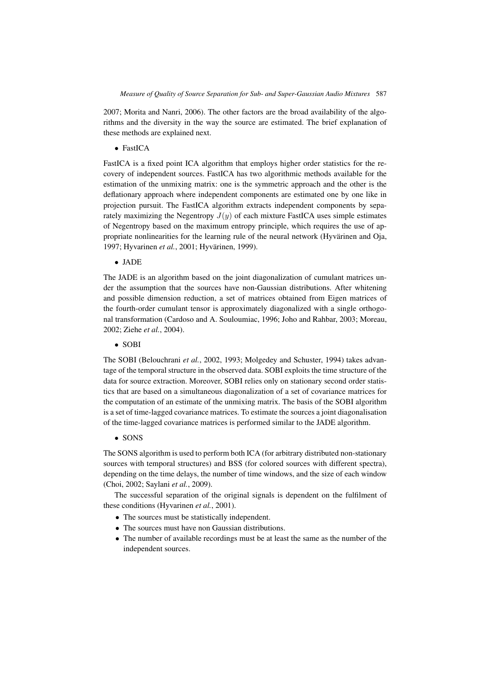2007; Morita and Nanri, 2006). The other factors are the broad availability of the algorithms and the diversity in the way the source are estimated. The brief explanation of these methods are explained next.

• FastICA

FastICA is a fixed point ICA algorithm that employs higher order statistics for the recovery of independent sources. FastICA has two algorithmic methods available for the estimation of the unmixing matrix: one is the symmetric approach and the other is the deflationary approach where independent components are estimated one by one like in projection pursuit. The FastICA algorithm extracts independent components by separately maximizing the Negentropy  $J(y)$  of each mixture FastICA uses simple estimates of Negentropy based on the maximum entropy principle, which requires the use of appropriate nonlinearities for the learning rule of the neural network (Hyvärinen and Oja, 1997; Hyvarinen *et al.*, 2001; Hyvärinen, 1999).

• JADE

The JADE is an algorithm based on the joint diagonalization of cumulant matrices under the assumption that the sources have non-Gaussian distributions. After whitening and possible dimension reduction, a set of matrices obtained from Eigen matrices of the fourth-order cumulant tensor is approximately diagonalized with a single orthogonal transformation (Cardoso and A. Souloumiac, 1996; Joho and Rahbar, 2003; Moreau, 2002; Ziehe *et al.*, 2004).

## • SOBI

The SOBI (Belouchrani *et al.*, 2002, 1993; Molgedey and Schuster, 1994) takes advantage of the temporal structure in the observed data. SOBI exploits the time structure of the data for source extraction. Moreover, SOBI relies only on stationary second order statistics that are based on a simultaneous diagonalization of a set of covariance matrices for the computation of an estimate of the unmixing matrix. The basis of the SOBI algorithm is a set of time-lagged covariance matrices. To estimate the sources a joint diagonalisation of the time-lagged covariance matrices is performed similar to the JADE algorithm.

## • SONS

The SONS algorithm is used to perform both ICA (for arbitrary distributed non-stationary sources with temporal structures) and BSS (for colored sources with different spectra), depending on the time delays, the number of time windows, and the size of each window (Choi, 2002; Saylani *et al.*, 2009).

The successful separation of the original signals is dependent on the fulfilment of these conditions (Hyvarinen *et al.*, 2001).

- The sources must be statistically independent.
- The sources must have non Gaussian distributions.
- The number of available recordings must be at least the same as the number of the independent sources.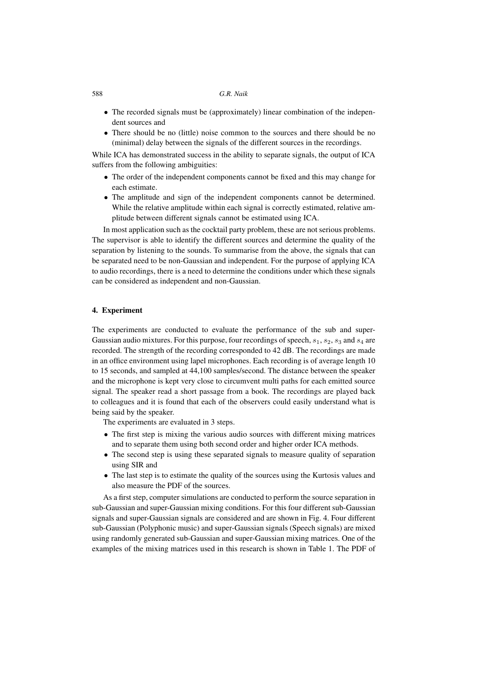- The recorded signals must be (approximately) linear combination of the independent sources and
- There should be no (little) noise common to the sources and there should be no (minimal) delay between the signals of the different sources in the recordings.

While ICA has demonstrated success in the ability to separate signals, the output of ICA suffers from the following ambiguities:

- The order of the independent components cannot be fixed and this may change for each estimate.
- The amplitude and sign of the independent components cannot be determined. While the relative amplitude within each signal is correctly estimated, relative amplitude between different signals cannot be estimated using ICA.

In most application such as the cocktail party problem, these are not serious problems. The supervisor is able to identify the different sources and determine the quality of the separation by listening to the sounds. To summarise from the above, the signals that can be separated need to be non-Gaussian and independent. For the purpose of applying ICA to audio recordings, there is a need to determine the conditions under which these signals can be considered as independent and non-Gaussian.

#### **4. Experiment**

The experiments are conducted to evaluate the performance of the sub and super-Gaussian audio mixtures. For this purpose, four recordings of speech,  $s_1$ ,  $s_2$ ,  $s_3$  and  $s_4$  are recorded. The strength of the recording corresponded to 42 dB. The recordings are made in an office environment using lapel microphones. Each recording is of average length 10 to 15 seconds, and sampled at 44,100 samples/second. The distance between the speaker and the microphone is kept very close to circumvent multi paths for each emitted source signal. The speaker read a short passage from a book. The recordings are played back to colleagues and it is found that each of the observers could easily understand what is being said by the speaker.

The experiments are evaluated in 3 steps.

- The first step is mixing the various audio sources with different mixing matrices and to separate them using both second order and higher order ICA methods.
- The second step is using these separated signals to measure quality of separation using SIR and
- The last step is to estimate the quality of the sources using the Kurtosis values and also measure the PDF of the sources.

As a first step, computer simulations are conducted to perform the source separation in sub-Gaussian and super-Gaussian mixing conditions. For this four different sub-Gaussian signals and super-Gaussian signals are considered and are shown in Fig. 4. Four different sub-Gaussian (Polyphonic music) and super-Gaussian signals (Speech signals) are mixed using randomly generated sub-Gaussian and super-Gaussian mixing matrices. One of the examples of the mixing matrices used in this research is shown in Table 1. The PDF of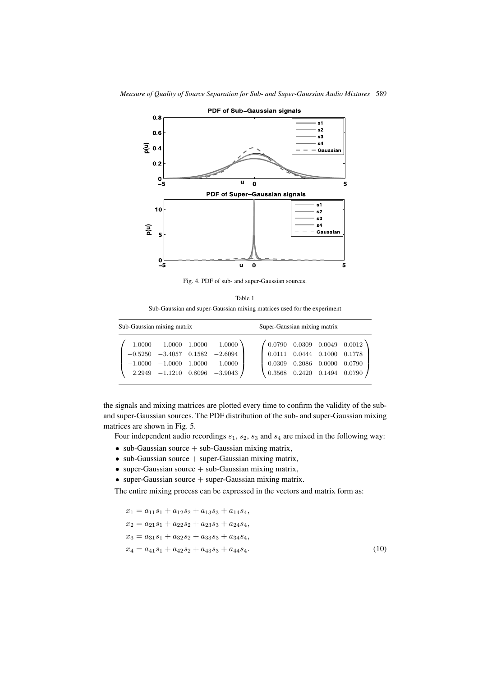

Fig. 4. PDF of sub- and super-Gaussian sources.

| Table 1                                                                 |
|-------------------------------------------------------------------------|
| Sub-Gaussian and super-Gaussian mixing matrices used for the experiment |

| Sub-Gaussian mixing matrix |                              |  |                                                                                                                                     |                                                                                                                                                                                                              | Super-Gaussian mixing matrix |        |        |  |
|----------------------------|------------------------------|--|-------------------------------------------------------------------------------------------------------------------------------------|--------------------------------------------------------------------------------------------------------------------------------------------------------------------------------------------------------------|------------------------------|--------|--------|--|
|                            | $-1.0000$ $-1.0000$ $1.0000$ |  | $-1.0000$ $-1.0000$ $1.0000$ $-1.0000$<br>$-0.5250$ $-3.4057$ $0.1582$ $-2.6094$<br>1.0000<br>$2.2949$ $-1.1210$ $0.8096$ $-3.9043$ | $\left( \begin{array}{ccc} 0.0790 & 0.0309 & 0.0049 & 0.0012 \ 0.0111 & 0.0444 & 0.1000 & 0.1778 \end{array} \right)$<br>$\big  0.0309$<br>$\begin{pmatrix} 0.3568 & 0.2420 & 0.1494 & 0.0790 \end{pmatrix}$ | 0.2086                       | 0.0000 | 0.0790 |  |
|                            |                              |  |                                                                                                                                     |                                                                                                                                                                                                              |                              |        |        |  |

the signals and mixing matrices are plotted every time to confirm the validity of the suband super-Gaussian sources. The PDF distribution of the sub- and super-Gaussian mixing matrices are shown in Fig. 5.

Four independent audio recordings  $s_1$ ,  $s_2$ ,  $s_3$  and  $s_4$  are mixed in the following way:

- sub-Gaussian source  $+$  sub-Gaussian mixing matrix,
- $\bullet$  sub-Gaussian source  $+$  super-Gaussian mixing matrix,
- super-Gaussian source  $+$  sub-Gaussian mixing matrix,
- super-Gaussian source  $+$  super-Gaussian mixing matrix.

The entire mixing process can be expressed in the vectors and matrix form as:

$$
x_1 = a_{11}s_1 + a_{12}s_2 + a_{13}s_3 + a_{14}s_4,
$$
  
\n
$$
x_2 = a_{21}s_1 + a_{22}s_2 + a_{23}s_3 + a_{24}s_4,
$$
  
\n
$$
x_3 = a_{31}s_1 + a_{32}s_2 + a_{33}s_3 + a_{34}s_4,
$$
  
\n
$$
x_4 = a_{41}s_1 + a_{42}s_2 + a_{43}s_3 + a_{44}s_4.
$$
\n(10)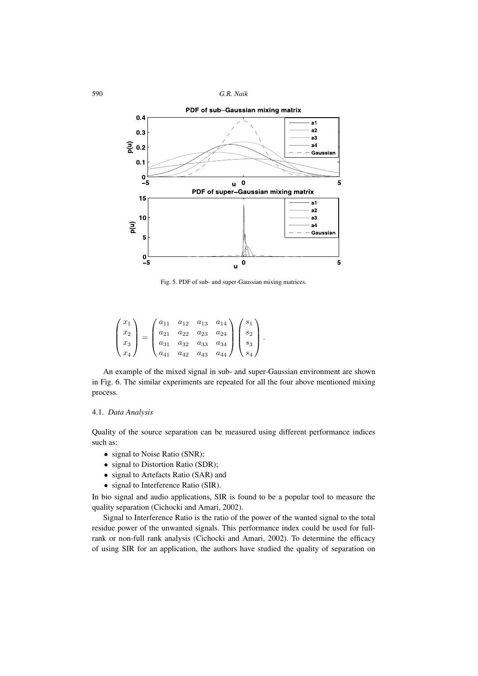590 *G.R. Naik*



Fig. 5. PDF of sub- and super-Gaussian mixing matrices.

$$
\begin{pmatrix} x_1 \\ x_2 \\ x_3 \\ x_4 \end{pmatrix} = \begin{pmatrix} a_{11} & a_{12} & a_{13} & a_{14} \\ a_{21} & a_{22} & a_{23} & a_{24} \\ a_{31} & a_{32} & a_{33} & a_{34} \\ a_{41} & a_{42} & a_{43} & a_{44} \end{pmatrix} \begin{pmatrix} s_1 \\ s_2 \\ s_3 \\ s_4 \end{pmatrix}.
$$

An example of the mixed signal in sub- and super-Gaussian environment are shown in Fig. 6. The similar experiments are repeated for all the four above mentioned mixing process.

#### 4.1. *Data Analysis*

Quality of the source separation can be measured using different performance indices such as:

- signal to Noise Ratio (SNR);
- signal to Distortion Ratio (SDR);
- signal to Artefacts Ratio (SAR) and
- signal to Interference Ratio (SIR).

In bio signal and audio applications, SIR is found to be a popular tool to measure the quality separation (Cichocki and Amari, 2002).

Signal to Interference Ratio is the ratio of the power of the wanted signal to the total residue power of the unwanted signals. This performance index could be used for fullrank or non-full rank analysis (Cichocki and Amari, 2002). To determine the efficacy of using SIR for an application, the authors have studied the quality of separation on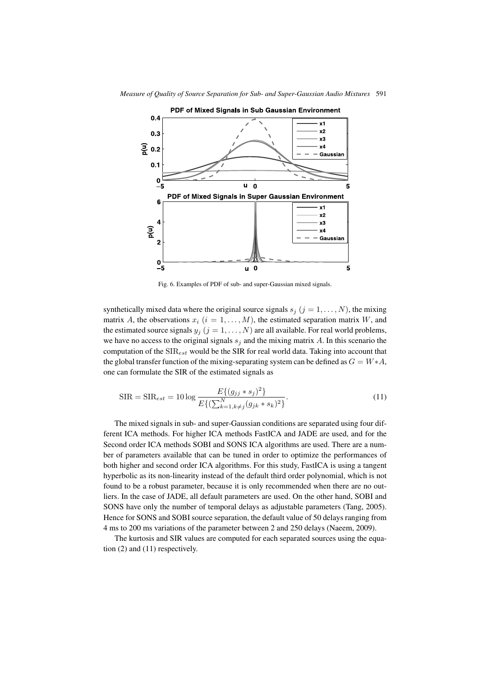

Fig. 6. Examples of PDF of sub- and super-Gaussian mixed signals.

synthetically mixed data where the original source signals  $s_j$  ( $j = 1, \ldots, N$ ), the mixing matrix A, the observations  $x_i$   $(i = 1, \ldots, M)$ , the estimated separation matrix W, and the estimated source signals  $y_j$   $(j = 1, \ldots, N)$  are all available. For real world problems, we have no access to the original signals  $s_i$  and the mixing matrix A. In this scenario the computation of the  $SIR_{est}$  would be the SIR for real world data. Taking into account that the global transfer function of the mixing-separating system can be defined as  $G = W*A$ , one can formulate the SIR of the estimated signals as

$$
SIR = SIR_{est} = 10 \log \frac{E\{(g_{jj} * s_j)^2\}}{E\{(\sum_{k=1, k \neq j}^{N} (g_{jk} * s_k)^2\}}.
$$
\n(11)

The mixed signals in sub- and super-Gaussian conditions are separated using four different ICA methods. For higher ICA methods FastICA and JADE are used, and for the Second order ICA methods SOBI and SONS ICA algorithms are used. There are a number of parameters available that can be tuned in order to optimize the performances of both higher and second order ICA algorithms. For this study, FastICA is using a tangent hyperbolic as its non-linearity instead of the default third order polynomial, which is not found to be a robust parameter, because it is only recommended when there are no outliers. In the case of JADE, all default parameters are used. On the other hand, SOBI and SONS have only the number of temporal delays as adjustable parameters (Tang, 2005). Hence for SONS and SOBI source separation, the default value of 50 delays ranging from 4 ms to 200 ms variations of the parameter between 2 and 250 delays (Naeem, 2009).

The kurtosis and SIR values are computed for each separated sources using the equation (2) and (11) respectively.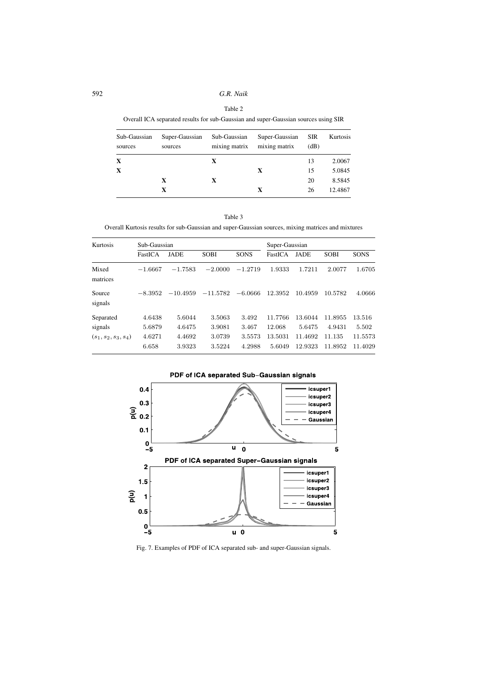#### Table 2

Overall ICA separated results for sub-Gaussian and super-Gaussian sources using SIR

| Sub-Gaussian<br>sources | Super-Gaussian<br>sources | Sub-Gaussian<br>mixing matrix | Super-Gaussian<br>mixing matrix | <b>SIR</b><br>(dB) | Kurtosis |
|-------------------------|---------------------------|-------------------------------|---------------------------------|--------------------|----------|
| X                       |                           | X                             |                                 | 13                 | 2.0067   |
| X                       |                           |                               | X                               | 15                 | 5.0845   |
|                         | X                         | X                             |                                 | 20                 | 8.5845   |
|                         | X                         |                               | X                               | 26                 | 12.4867  |

Table 3

Overall Kurtosis results for sub-Gaussian and super-Gaussian sources, mixing matrices and mixtures

| Kurtosis               | Sub-Gaussian    |                  | Super-Gaussian   |                  |                   |                    |                   |                    |
|------------------------|-----------------|------------------|------------------|------------------|-------------------|--------------------|-------------------|--------------------|
|                        | FastICA         | <b>JADE</b>      | <b>SOBI</b>      | <b>SONS</b>      | FastICA           | <b>JADE</b>        | <b>SOBI</b>       | <b>SONS</b>        |
| Mixed<br>matrices      | $-1.6667$       | $-1.7583$        | $-2.0000$        | $-1.2719$        | 1.9333            | 1.7211             | 2.0077            | 1.6705             |
| Source<br>signals      | $-8.3952$       | $-10.4959$       | $-11.5782$       | $-6.0666$        | 12.3952           | 10.4959            | 10.5782           | 4.0666             |
| Separated              | 4.6438          | 5.6044           | 3.5063           | 3.492            | 11.7766           | 13.6044            | 11.8955           | 13.516             |
| signals                | 5.6879          | 4.6475           | 3.9081           | 3.467            | 12.068            | 5.6475             | 4.9431            | 5.502              |
| $(s_1, s_2, s_3, s_4)$ | 4.6271<br>6.658 | 4.4692<br>3.9323 | 3.0739<br>3.5224 | 3.5573<br>4.2988 | 13.5031<br>5.6049 | 11.4692<br>12.9323 | 11.135<br>11.8952 | 11.5573<br>11.4029 |



PDF of ICA separated Sub-Gaussian signals

Fig. 7. Examples of PDF of ICA separated sub- and super-Gaussian signals.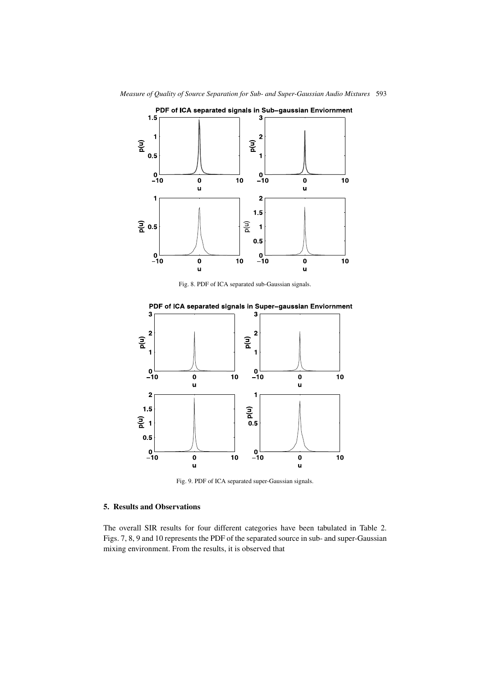

Fig. 8. PDF of ICA separated sub-Gaussian signals.



Fig. 9. PDF of ICA separated super-Gaussian signals.

## **5. Results and Observations**

The overall SIR results for four different categories have been tabulated in Table 2. Figs. 7, 8, 9 and 10 represents the PDF of the separated source in sub- and super-Gaussian mixing environment. From the results, it is observed that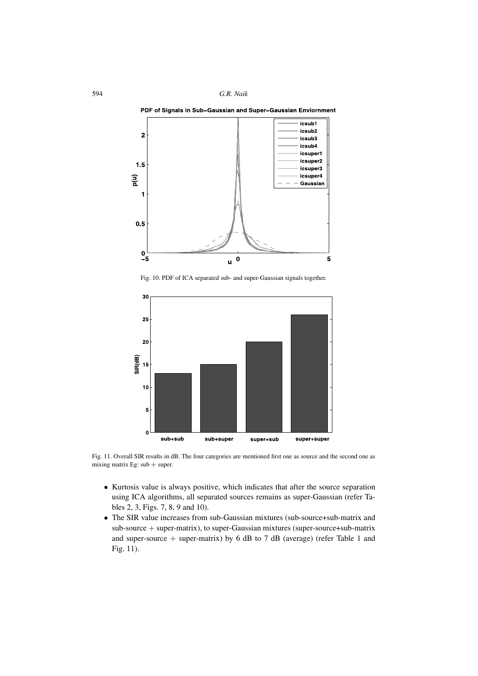

Fig. 10. PDF of ICA separated sub- and super-Gaussian signals together.



Fig. 11. Overall SIR results in dB. The four categories are mentioned first one as source and the second one as mixing matrix Eg:  $sub + super$ .

- Kurtosis value is always positive, which indicates that after the source separation using ICA algorithms, all separated sources remains as super-Gaussian (refer Tables 2, 3, Figs. 7, 8, 9 and 10).
- The SIR value increases from sub-Gaussian mixtures (sub-source+sub-matrix and sub-source + super-matrix), to super-Gaussian mixtures (super-source+sub-matrix and super-source  $+$  super-matrix) by 6 dB to 7 dB (average) (refer Table 1 and Fig. 11).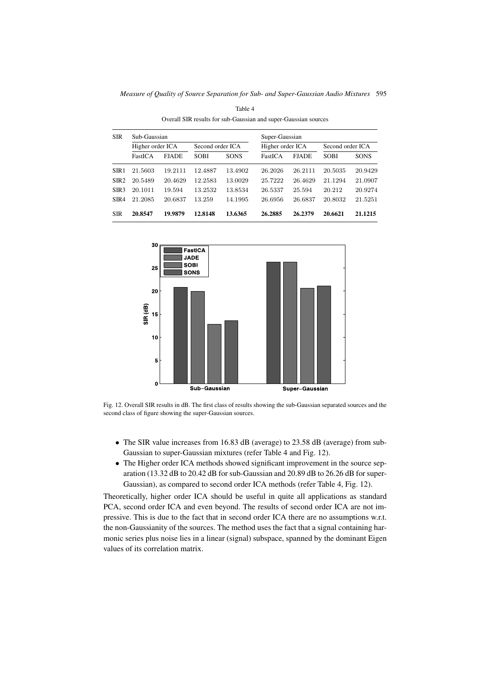*Measure of Quality of Source Separation for Sub- and Super-Gaussian Audio Mixtures* 595

| <b>SIR</b>       | Sub-Gaussian     |              |                  |             | Super-Gaussian   |              |                  |             |
|------------------|------------------|--------------|------------------|-------------|------------------|--------------|------------------|-------------|
|                  | Higher order ICA |              | Second order ICA |             | Higher order ICA |              | Second order ICA |             |
|                  | FastICA          | <b>FJADE</b> | <b>SOBI</b>      | <b>SONS</b> | FastICA          | <b>FJADE</b> | <b>SOBI</b>      | <b>SONS</b> |
| SIR <sub>1</sub> | 21.5603          | 19.2111      | 12.4887          | 13.4902     | 26.2026          | 26.2111      | 20.5035          | 20.9429     |
| SIR <sub>2</sub> | 20.5489          | 20.4629      | 12.2583          | 13.0029     | 25.7222          | 26.4629      | 21.1294          | 21.0907     |
| SIR <sub>3</sub> | 20.1011          | 19.594       | 13.2532          | 13.8534     | 26.5337          | 25.594       | 20.212           | 20.9274     |
| SIR4             | 21.2085          | 20.6837      | 13.259           | 14.1995     | 26.6956          | 26.6837      | 20.8032          | 21.5251     |
| <b>SIR</b>       | 20.8547          | 19.9879      | 12.8148          | 13.6365     | 26.2885          | 26.2379      | 20.6621          | 21.1215     |

Table 4 Overall SIR results for sub-Gaussian and super-Gaussian sources



Fig. 12. Overall SIR results in dB. The first class of results showing the sub-Gaussian separated sources and the second class of figure showing the super-Gaussian sources.

- The SIR value increases from 16.83 dB (average) to 23.58 dB (average) from sub-Gaussian to super-Gaussian mixtures (refer Table 4 and Fig. 12).
- The Higher order ICA methods showed significant improvement in the source separation (13.32 dB to 20.42 dB for sub-Gaussian and 20.89 dB to 26.26 dB for super-Gaussian), as compared to second order ICA methods (refer Table 4, Fig. 12).

Theoretically, higher order ICA should be useful in quite all applications as standard PCA, second order ICA and even beyond. The results of second order ICA are not impressive. This is due to the fact that in second order ICA there are no assumptions w.r.t. the non-Gaussianity of the sources. The method uses the fact that a signal containing harmonic series plus noise lies in a linear (signal) subspace, spanned by the dominant Eigen values of its correlation matrix.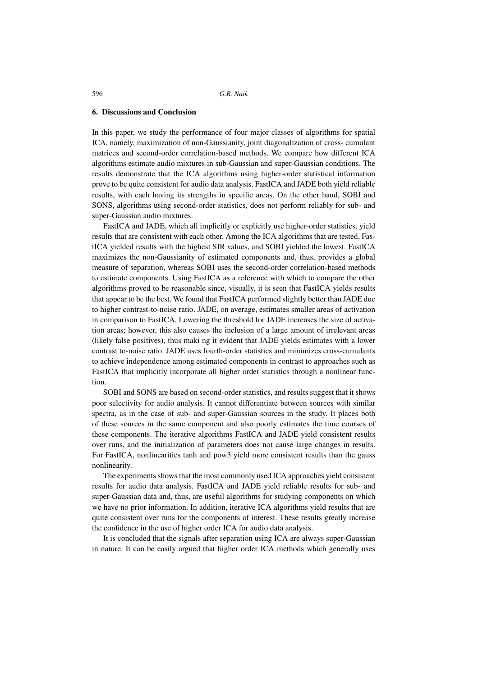## **6. Discussions and Conclusion**

In this paper, we study the performance of four major classes of algorithms for spatial ICA, namely, maximization of non-Gaussianity, joint diagonalization of cross- cumulant matrices and second-order correlation-based methods. We compare how different ICA algorithms estimate audio mixtures in sub-Gaussian and super-Gaussian conditions. The results demonstrate that the ICA algorithms using higher-order statistical information prove to be quite consistent for audio data analysis. FastICA and JADE both yield reliable results, with each having its strengths in specific areas. On the other hand, SOBI and SONS, algorithms using second-order statistics, does not perform reliably for sub- and super-Gaussian audio mixtures.

FastICA and JADE, which all implicitly or explicitly use higher-order statistics, yield results that are consistent with each other. Among the ICA algorithms that are tested, FastICA yielded results with the highest SIR values, and SOBI yielded the lowest. FastICA maximizes the non-Gaussianity of estimated components and, thus, provides a global measure of separation, whereas SOBI uses the second-order correlation-based methods to estimate components. Using FastICA as a reference with which to compare the other algorithms proved to be reasonable since, visually, it is seen that FastICA yields results that appear to be the best. We found that FastICA performed slightly better than JADE due to higher contrast-to-noise ratio. JADE, on average, estimates smaller areas of activation in comparison to FastICA. Lowering the threshold for JADE increases the size of activation areas; however, this also causes the inclusion of a large amount of irrelevant areas (likely false positives), thus maki ng it evident that JADE yields estimates with a lower contrast to-noise ratio. JADE uses fourth-order statistics and minimizes cross-cumulants to achieve independence among estimated components in contrast to approaches such as FastICA that implicitly incorporate all higher order statistics through a nonlinear function.

SOBI and SONS are based on second-order statistics, and results suggest that it shows poor selectivity for audio analysis. It cannot differentiate between sources with similar spectra, as in the case of sub- and super-Gaussian sources in the study. It places both of these sources in the same component and also poorly estimates the time courses of these components. The iterative algorithms FastICA and JADE yield consistent results over runs, and the initialization of parameters does not cause large changes in results. For FastICA, nonlinearities tanh and pow3 yield more consistent results than the gauss nonlinearity.

The experiments shows that the most commonly used ICA approaches yield consistent results for audio data analysis. FastICA and JADE yield reliable results for sub- and super-Gaussian data and, thus, are useful algorithms for studying components on which we have no prior information. In addition, iterative ICA algorithms yield results that are quite consistent over runs for the components of interest. These results greatly increase the confidence in the use of higher order ICA for audio data analysis.

It is concluded that the signals after separation using ICA are always super-Gaussian in nature. It can be easily argued that higher order ICA methods which generally uses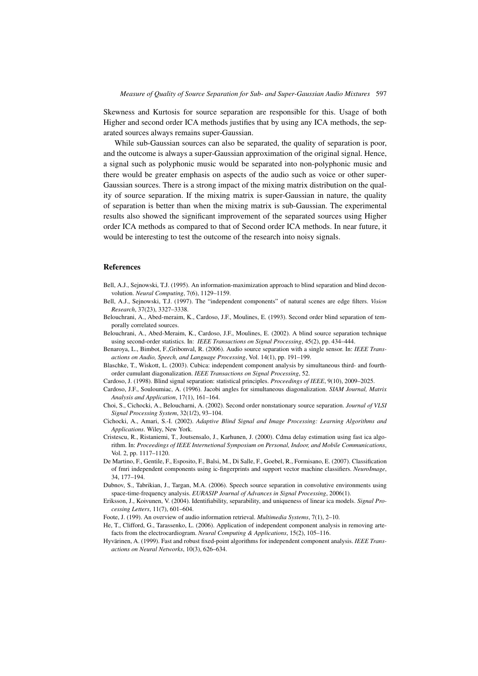Skewness and Kurtosis for source separation are responsible for this. Usage of both Higher and second order ICA methods justifies that by using any ICA methods, the separated sources always remains super-Gaussian.

While sub-Gaussian sources can also be separated, the quality of separation is poor, and the outcome is always a super-Gaussian approximation of the original signal. Hence, a signal such as polyphonic music would be separated into non-polyphonic music and there would be greater emphasis on aspects of the audio such as voice or other super-Gaussian sources. There is a strong impact of the mixing matrix distribution on the quality of source separation. If the mixing matrix is super-Gaussian in nature, the quality of separation is better than when the mixing matrix is sub-Gaussian. The experimental results also showed the significant improvement of the separated sources using Higher order ICA methods as compared to that of Second order ICA methods. In near future, it would be interesting to test the outcome of the research into noisy signals.

#### **References**

- Bell, A.J., Sejnowski, T.J. (1995). An information-maximization approach to blind separation and blind deconvolution. *Neural Computing*, 7(6), 1129–1159.
- Bell, A.J., Sejnowski, T.J. (1997). The "independent components" of natural scenes are edge filters. *Vision Research*, 37(23), 3327–3338.
- Belouchrani, A., Abed-meraim, K., Cardoso, J.F., Moulines, E. (1993). Second order blind separation of temporally correlated sources.
- Belouchrani, A., Abed-Meraim, K., Cardoso, J.F., Moulines, E. (2002). A blind source separation technique using second-order statistics. In: *IEEE Transactions on Signal Processing*, 45(2), pp. 434–444.

Benaroya, L., Bimbot, F.,Gribonval, R. (2006). Audio source separation with a single sensor. In: *IEEE Transactions on Audio, Speech, and Language Processing*, Vol. 14(1), pp. 191–199.

- Blaschke, T., Wiskott, L. (2003). Cubica: independent component analysis by simultaneous third- and fourthorder cumulant diagonalization. *IEEE Transactions on Signal Processing*, 52.
- Cardoso, J. (1998). Blind signal separation: statistical principles. *Proceedings of IEEE*, 9(10), 2009–2025.
- Cardoso, J.F., Souloumiac, A. (1996). Jacobi angles for simultaneous diagonalization. *SIAM Journal, Matrix Analysis and Application*, 17(1), 161–164.
- Choi, S., Cichocki, A., Beloucharni, A. (2002). Second order nonstationary source separation. *Journal of VLSI Signal Processing System*, 32(1/2), 93–104.
- Cichocki, A., Amari, S.-I. (2002). *Adaptive Blind Signal and Image Processing: Learning Algorithms and Applications*. Wiley, New York.
- Cristescu, R., Ristaniemi, T., Joutsensalo, J., Karhunen, J. (2000). Cdma delay estimation using fast ica algorithm. In: *Proceedings of IEEE Internetional Symposium on Personal, Indoor, and Mobile Communications*, Vol. 2, pp. 1117–1120.
- De Martino, F., Gentile, F., Esposito, F., Balsi, M., Di Salle, F., Goebel, R., Formisano, E. (2007). Classification of fmri independent components using ic-fingerprints and support vector machine classifiers. *NeuroImage*, 34, 177–194.
- Dubnov, S., Tabrikian, J., Targan, M.A. (2006). Speech source separation in convolutive environments using space-time-frequency analysis. *EURASIP Journal of Advances in Signal Processing*, 2006(1).
- Eriksson, J., Koivunen, V. (2004). Identifiability, separability, and uniqueness of linear ica models. *Signal Processing Letters*, 11(7), 601–604.
- Foote, J. (199). An overview of audio information retrieval. *Multimedia Systems*, 7(1), 2–10.
- He, T., Clifford, G., Tarassenko, L. (2006). Application of independent component analysis in removing artefacts from the electrocardiogram. *Neural Computing & Applications*, 15(2), 105–116.
- Hyvärinen, A. (1999). Fast and robust fixed-point algorithms for independent component analysis. *IEEE Transactions on Neural Networks*, 10(3), 626–634.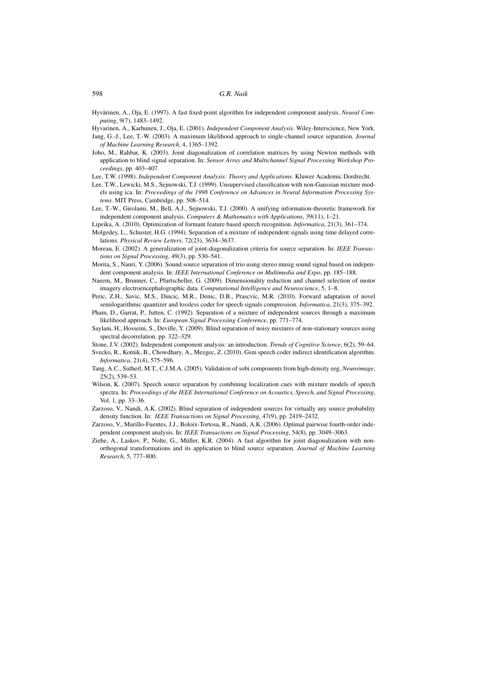- Hyvarinen, A., Karhunen, J., Oja, E. (2001). *Independent Component Analysis*. Wiley-Interscience, New York. Jang, G.-J., Lee, T.-W. (2003). A maximum likelihood approach to single-channel source separation. *Journal*
	- *of Machine Learning Research*, 4, 1365–1392.
- Joho, M., Rahbar, K. (2003). Joint diagonalization of correlation matrices by using Newton methods with application to blind signal separation. In: *Sensor Array and Multichannel Signal Processing Workshop Proceedings*, pp. 403–407.
- Lee, T.W. (1998). *Independent Component Analysis: Theory and Applications*. Kluwer Academic Dordrecht.
- Lee, T.W., Lewicki, M.S., Sejnowski, T.J. (1999). Unsupervised classification with non-Gaussian mixture models using ica. In: *Proceedings of the 1998 Conference on Advances in Neural Information Processing Systems*. MIT Press, Cambridge, pp. 508–514.
- Lee, T.-W., Girolami, M., Bell, A.J., Sejnowski, T.J. (2000). A unifying information-theoretic framework for independent component analysis. *Computers & Mathematics with Applications*, 39(11), 1–21.
- Lipeika, A. (2010). Optimization of formant feature based speech recognition. *Informatica*, 21(3), 361–374.
- Molgedey, L., Schuster, H.G. (1994). Separation of a mixture of independent signals using time delayed correlations. *Physical Review Letters*, 72(23), 3634–3637.
- Moreau, E. (2002). A generalization of joint-diagonalization criteria for source separation. In: *IEEE Transactions on Signal Processing*, 49(3), pp. 530–541.
- Morita, S., Nanri, Y. (2006). Sound source separation of trio using stereo musig sound signal based on independent component analysis. In: *IEEE International Conference on Multimedia and Expo*, pp. 185–188.
- Naeem, M., Brunner, C., Pfurtscheller, G. (2009). Dimensionality reduction and channel selection of motor imagery electroencephalographic data. *Computational Intelligence and Neuroscience*, 5, 1–8.
- Peric, Z.H., Savic, M.S., Dincic, M.R., Denic, D.B., Prascvic, M.R. (2010). Forward adaptation of novel semilogarithmic quantizer and lossless coder for speech signals compression. *Informatica*, 21(3), 375–392.
- Pham, D., Garrat, P., Jutten, C. (1992). Separation of a mixture of independent sources through a maximum likelihood approach. In: *European Signal Processing Conference*, pp. 771–774.
- Saylani, H., Hosseini, S., Deville, Y. (2009). Blind separation of noisy mixtures of non-stationary sources using spectral decorrelation. pp. 322–329.
- Stone, J.V. (2002). Independent component analysis: an introduction. *Trends of Cognitive Science*, 6(2), 59–64.
- Svecko, R., Kotnik, B., Chowdhary, A., Mezgec, Z. (2010). Gsm speech coder indirect identification algorithm. *Informatica*, 21(4), 575–596.
- Tang, A.C., Sutherl, M.T., C.J.M.A. (2005). Validation of sobi components from high-density eeg, *Neuroimage*, 25(2), 539–53.
- Wilson, K. (2007). Speech source separation by combining localization cues with mixture models of speech spectra. In: *Proceedings of the IEEE International Conference on Acoustics, Speech, and Signal Processing*, Vol. 1, pp. 33–36.
- Zarzoso, V., Nandi, A.K. (2002). Blind separation of independent sources for virtually any source probability density function. In: *IEEE Transactions on Signal Processing*, 47(9), pp. 2419–2432.
- Zarzoso, V., Murillo-Fuentes, J.J., Boloix-Tortosa, R., Nandi, A.K. (2006). Optimal pairwise fourth-order independent component analysis. In: *IEEE Transactions on Signal Processing*, 54(8), pp. 3049–3063.
- Ziehe, A., Laskov, P., Nolte, G., Müller, K.R. (2004). A fast algorithm for joint diagonalization with nonorthogonal transformations and its application to blind source separation. *Journal of Machine Learning Research*, 5, 777–800.

Hyvärinen, A., Oja, E. (1997). A fast fixed-point algorithm for independent component analysis. *Neural Computing*, 9(7), 1483–1492.